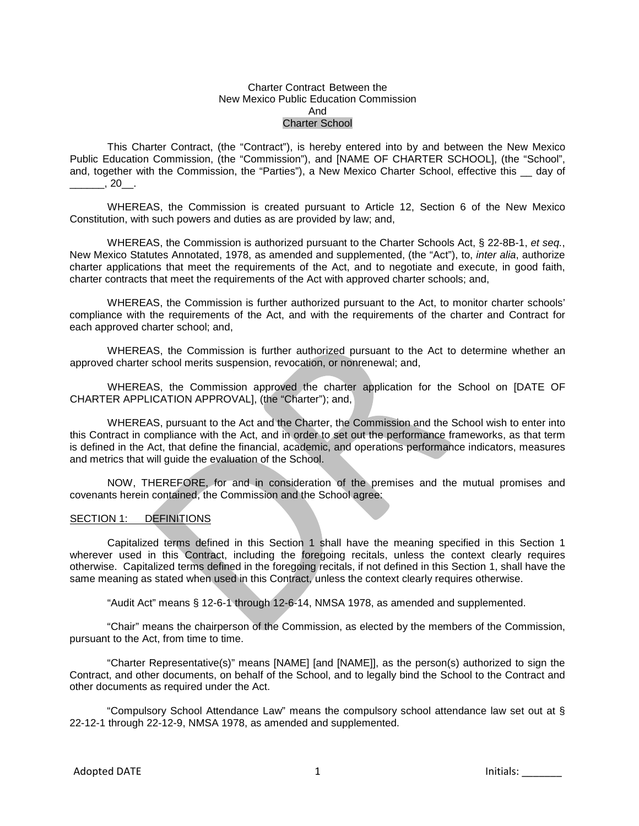#### Charter Contract Between the New Mexico Public Education Commission And Charter School

This Charter Contract, (the "Contract"), is hereby entered into by and between the New Mexico Public Education Commission, (the "Commission"), and [NAME OF CHARTER SCHOOL], (the "School", and, together with the Commission, the "Parties"), a New Mexico Charter School, effective this \_\_ day of  $\frac{1}{20}$ , 20

WHEREAS, the Commission is created pursuant to Article 12, Section 6 of the New Mexico Constitution, with such powers and duties as are provided by law; and,

WHEREAS, the Commission is authorized pursuant to the Charter Schools Act, § 22-8B-1, *et seq.*, New Mexico Statutes Annotated, 1978, as amended and supplemented, (the "Act"), to, *inter alia*, authorize charter applications that meet the requirements of the Act, and to negotiate and execute, in good faith, charter contracts that meet the requirements of the Act with approved charter schools; and,

WHEREAS, the Commission is further authorized pursuant to the Act, to monitor charter schools' compliance with the requirements of the Act, and with the requirements of the charter and Contract for each approved charter school; and,

WHEREAS, the Commission is further authorized pursuant to the Act to determine whether an approved charter school merits suspension, revocation, or nonrenewal; and,

WHEREAS, the Commission approved the charter application for the School on [DATE OF CHARTER APPLICATION APPROVAL], (the "Charter"); and,

WHEREAS, pursuant to the Act and the Charter, the Commission and the School wish to enter into this Contract in compliance with the Act, and in order to set out the performance frameworks, as that term is defined in the Act, that define the financial, academic, and operations performance indicators, measures and metrics that will guide the evaluation of the School.

NOW, THEREFORE, for and in consideration of the premises and the mutual promises and covenants herein contained, the Commission and the School agree:

#### SECTION 1: DEFINITIONS

Capitalized terms defined in this Section 1 shall have the meaning specified in this Section 1 wherever used in this Contract, including the foregoing recitals, unless the context clearly requires otherwise. Capitalized terms defined in the foregoing recitals, if not defined in this Section 1, shall have the same meaning as stated when used in this Contract, unless the context clearly requires otherwise.

"Audit Act" means § 12-6-1 through 12-6-14, NMSA 1978, as amended and supplemented.

"Chair" means the chairperson of the Commission, as elected by the members of the Commission, pursuant to the Act, from time to time.

"Charter Representative(s)" means [NAME] [and [NAME]], as the person(s) authorized to sign the Contract, and other documents, on behalf of the School, and to legally bind the School to the Contract and other documents as required under the Act.

"Compulsory School Attendance Law" means the compulsory school attendance law set out at § 22-12-1 through 22-12-9, NMSA 1978, as amended and supplemented.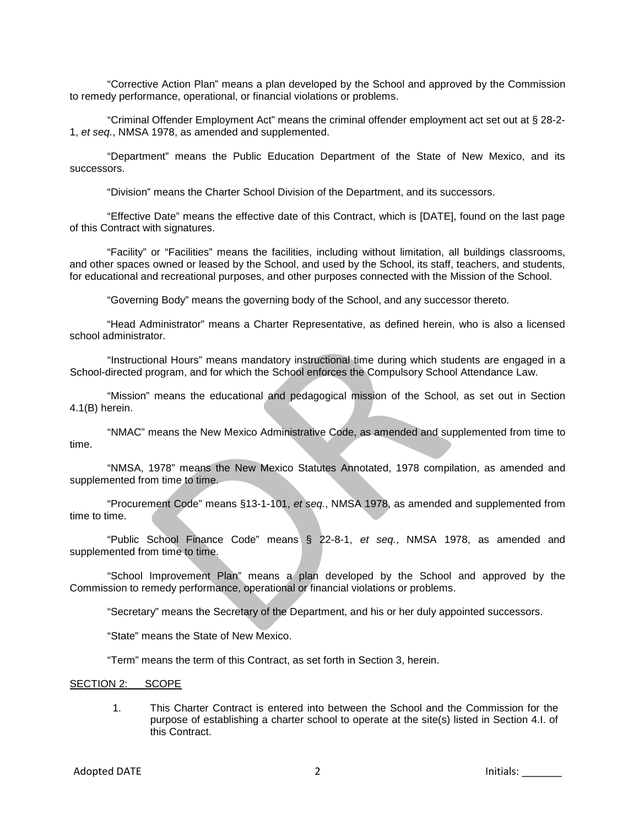"Corrective Action Plan" means a plan developed by the School and approved by the Commission to remedy performance, operational, or financial violations or problems.

"Criminal Offender Employment Act" means the criminal offender employment act set out at § 28-2- 1, *et seq.*, NMSA 1978, as amended and supplemented.

"Department" means the Public Education Department of the State of New Mexico, and its successors.

"Division" means the Charter School Division of the Department, and its successors.

"Effective Date" means the effective date of this Contract, which is [DATE], found on the last page of this Contract with signatures.

"Facility" or "Facilities" means the facilities, including without limitation, all buildings classrooms, and other spaces owned or leased by the School, and used by the School, its staff, teachers, and students, for educational and recreational purposes, and other purposes connected with the Mission of the School.

"Governing Body" means the governing body of the School, and any successor thereto.

"Head Administrator" means a Charter Representative, as defined herein, who is also a licensed school administrator.

"Instructional Hours" means mandatory instructional time during which students are engaged in a School-directed program, and for which the School enforces the Compulsory School Attendance Law.

"Mission" means the educational and pedagogical mission of the School, as set out in Section 4.1(B) herein.

"NMAC" means the New Mexico Administrative Code, as amended and supplemented from time to time.

"NMSA, 1978" means the New Mexico Statutes Annotated, 1978 compilation, as amended and supplemented from time to time.

"Procurement Code" means §13-1-101, *et seq.*, NMSA 1978, as amended and supplemented from time to time.

"Public School Finance Code" means § 22-8-1, *et seq.*, NMSA 1978, as amended and supplemented from time to time.

"School Improvement Plan" means a plan developed by the School and approved by the Commission to remedy performance, operational or financial violations or problems.

"Secretary" means the Secretary of the Department, and his or her duly appointed successors.

"State" means the State of New Mexico.

"Term" means the term of this Contract, as set forth in Section 3, herein.

SECTION 2: SCOPE

1. This Charter Contract is entered into between the School and the Commission for the purpose of establishing a charter school to operate at the site(s) listed in Section 4.I. of this Contract.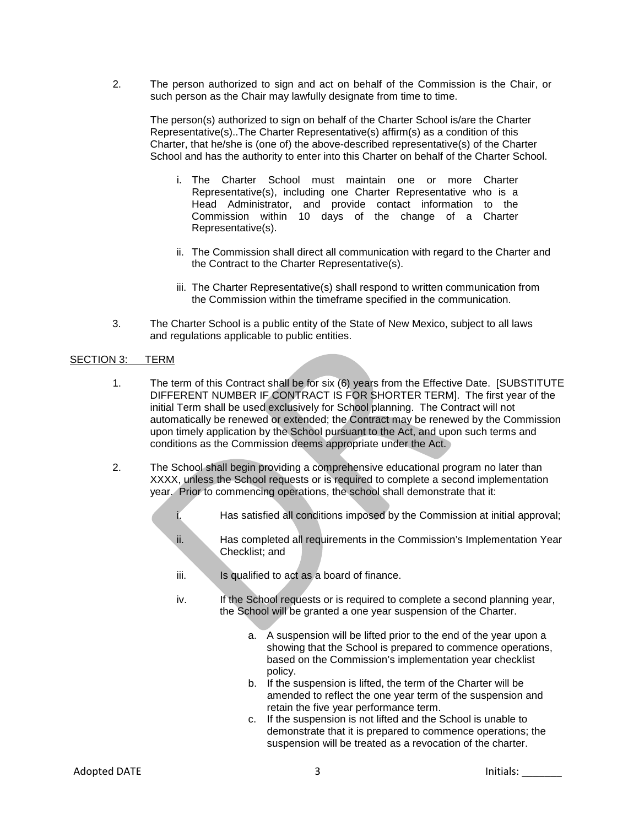2. The person authorized to sign and act on behalf of the Commission is the Chair, or such person as the Chair may lawfully designate from time to time.

The person(s) authorized to sign on behalf of the Charter School is/are the Charter Representative(s)..The Charter Representative(s) affirm(s) as a condition of this Charter, that he/she is (one of) the above-described representative(s) of the Charter School and has the authority to enter into this Charter on behalf of the Charter School.

- i. The Charter School must maintain one or more Charter Representative(s), including one Charter Representative who is a Head Administrator, and provide contact information to the Commission within 10 days of the change of a Charter Representative(s).
- ii. The Commission shall direct all communication with regard to the Charter and the Contract to the Charter Representative(s).
- iii. The Charter Representative(s) shall respond to written communication from the Commission within the timeframe specified in the communication.
- 3. The Charter School is a public entity of the State of New Mexico, subject to all laws and regulations applicable to public entities.

#### SECTION 3: TERM

- 1. The term of this Contract shall be for six (6) years from the Effective Date. [SUBSTITUTE DIFFERENT NUMBER IF CONTRACT IS FOR SHORTER TERM]. The first year of the initial Term shall be used exclusively for School planning. The Contract will not automatically be renewed or extended; the Contract may be renewed by the Commission upon timely application by the School pursuant to the Act, and upon such terms and conditions as the Commission deems appropriate under the Act.
- 2. The School shall begin providing a comprehensive educational program no later than XXXX, unless the School requests or is required to complete a second implementation year. Prior to commencing operations, the school shall demonstrate that it:
	- i. Has satisfied all conditions imposed by the Commission at initial approval;
	- ii. Has completed all requirements in the Commission's Implementation Year Checklist; and
	- iii. Is qualified to act as a board of finance.
	- iv. If the School requests or is required to complete a second planning year, the School will be granted a one year suspension of the Charter.
		- a. A suspension will be lifted prior to the end of the year upon a showing that the School is prepared to commence operations, based on the Commission's implementation year checklist policy.
		- b. If the suspension is lifted, the term of the Charter will be amended to reflect the one year term of the suspension and retain the five year performance term.
		- c. If the suspension is not lifted and the School is unable to demonstrate that it is prepared to commence operations; the suspension will be treated as a revocation of the charter.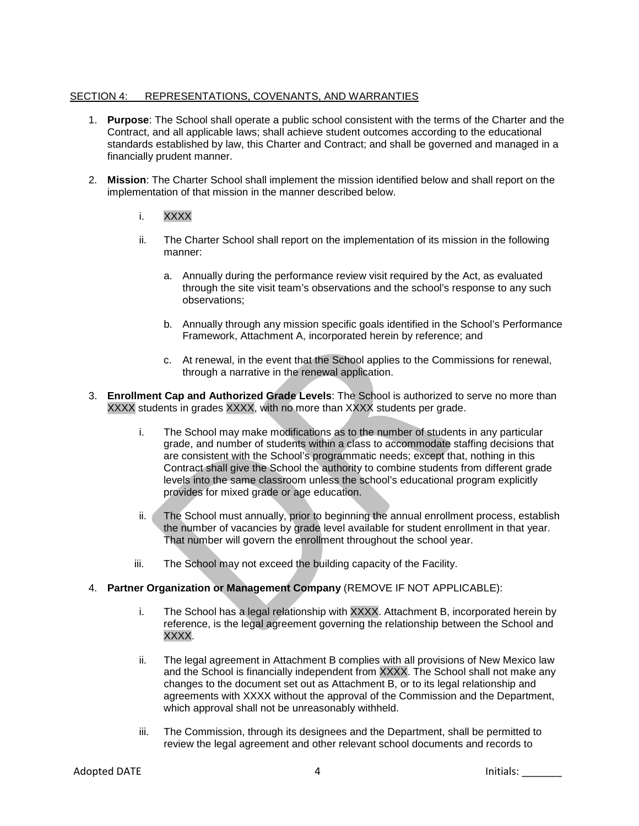## SECTION 4: REPRESENTATIONS, COVENANTS, AND WARRANTIES

- 1. **Purpose**: The School shall operate a public school consistent with the terms of the Charter and the Contract, and all applicable laws; shall achieve student outcomes according to the educational standards established by law, this Charter and Contract; and shall be governed and managed in a financially prudent manner.
- 2. **Mission**: The Charter School shall implement the mission identified below and shall report on the implementation of that mission in the manner described below.
	- i. XXXX
	- ii. The Charter School shall report on the implementation of its mission in the following manner:
		- a. Annually during the performance review visit required by the Act, as evaluated through the site visit team's observations and the school's response to any such observations;
		- b. Annually through any mission specific goals identified in the School's Performance Framework, Attachment A, incorporated herein by reference; and
		- c. At renewal, in the event that the School applies to the Commissions for renewal, through a narrative in the renewal application.
- 3. **Enrollment Cap and Authorized Grade Levels**: The School is authorized to serve no more than XXXX students in grades XXXX, with no more than XXXX students per grade.
	- i. The School may make modifications as to the number of students in any particular grade, and number of students within a class to accommodate staffing decisions that are consistent with the School's programmatic needs; except that, nothing in this Contract shall give the School the authority to combine students from different grade levels into the same classroom unless the school's educational program explicitly provides for mixed grade or age education.
	- ii. The School must annually, prior to beginning the annual enrollment process, establish the number of vacancies by grade level available for student enrollment in that year. That number will govern the enrollment throughout the school year.
	- iii. The School may not exceed the building capacity of the Facility.

#### 4. **Partner Organization or Management Company** (REMOVE IF NOT APPLICABLE):

- i. The School has a legal relationship with XXXX. Attachment B, incorporated herein by reference, is the legal agreement governing the relationship between the School and XXXX.
- ii. The legal agreement in Attachment B complies with all provisions of New Mexico law and the School is financially independent from XXXX. The School shall not make any changes to the document set out as Attachment B, or to its legal relationship and agreements with XXXX without the approval of the Commission and the Department, which approval shall not be unreasonably withheld.
- iii. The Commission, through its designees and the Department, shall be permitted to review the legal agreement and other relevant school documents and records to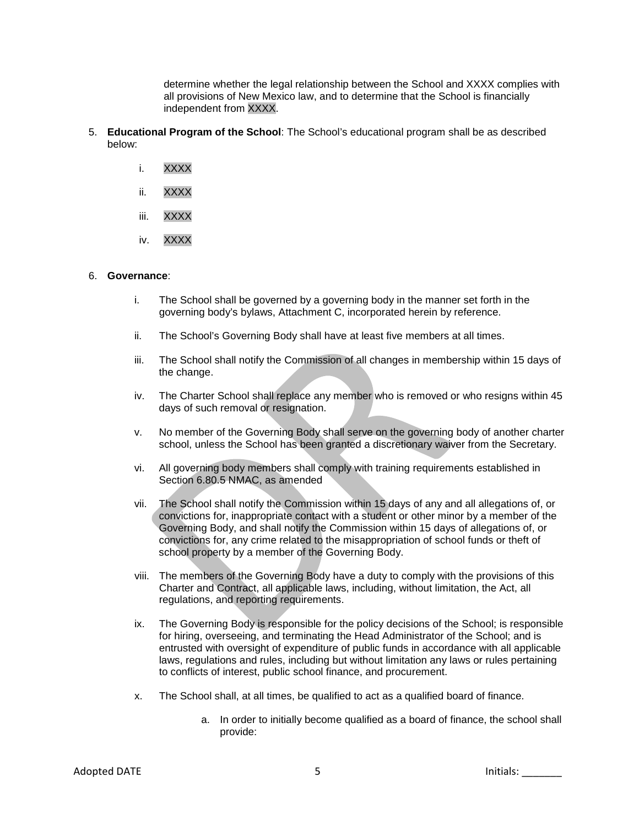determine whether the legal relationship between the School and XXXX complies with all provisions of New Mexico law, and to determine that the School is financially independent from XXXX.

- 5. **Educational Program of the School**: The School's educational program shall be as described below:
	- i. XXXX
	- ii. XXXX
	- iii. XXXX
	- iv. XXXX

#### 6. **Governance**:

- i. The School shall be governed by a governing body in the manner set forth in the governing body's bylaws, Attachment C, incorporated herein by reference.
- ii. The School's Governing Body shall have at least five members at all times.
- iii. The School shall notify the Commission of all changes in membership within 15 days of the change.
- iv. The Charter School shall replace any member who is removed or who resigns within 45 days of such removal or resignation.
- v. No member of the Governing Body shall serve on the governing body of another charter school, unless the School has been granted a discretionary waiver from the Secretary.
- vi. All governing body members shall comply with training requirements established in Section 6.80.5 NMAC, as amended
- vii. The School shall notify the Commission within 15 days of any and all allegations of, or convictions for, inappropriate contact with a student or other minor by a member of the Governing Body, and shall notify the Commission within 15 days of allegations of, or convictions for, any crime related to the misappropriation of school funds or theft of school property by a member of the Governing Body.
- viii. The members of the Governing Body have a duty to comply with the provisions of this Charter and Contract, all applicable laws, including, without limitation, the Act, all regulations, and reporting requirements.
- ix. The Governing Body is responsible for the policy decisions of the School; is responsible for hiring, overseeing, and terminating the Head Administrator of the School; and is entrusted with oversight of expenditure of public funds in accordance with all applicable laws, regulations and rules, including but without limitation any laws or rules pertaining to conflicts of interest, public school finance, and procurement.
- x. The School shall, at all times, be qualified to act as a qualified board of finance.
	- a. In order to initially become qualified as a board of finance, the school shall provide: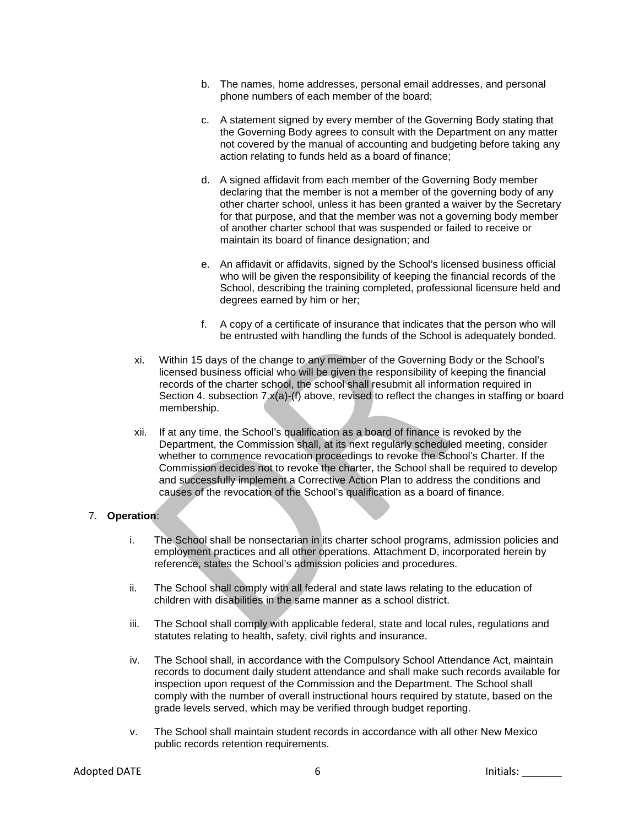- b. The names, home addresses, personal email addresses, and personal phone numbers of each member of the board;
- c. A statement signed by every member of the Governing Body stating that the Governing Body agrees to consult with the Department on any matter not covered by the manual of accounting and budgeting before taking any action relating to funds held as a board of finance;
- d. A signed affidavit from each member of the Governing Body member declaring that the member is not a member of the governing body of any other charter school, unless it has been granted a waiver by the Secretary for that purpose, and that the member was not a governing body member of another charter school that was suspended or failed to receive or maintain its board of finance designation; and
- e. An affidavit or affidavits, signed by the School's licensed business official who will be given the responsibility of keeping the financial records of the School, describing the training completed, professional licensure held and degrees earned by him or her;
- f. A copy of a certificate of insurance that indicates that the person who will be entrusted with handling the funds of the School is adequately bonded.
- xi. Within 15 days of the change to any member of the Governing Body or the School's licensed business official who will be given the responsibility of keeping the financial records of the charter school, the school shall resubmit all information required in Section 4. subsection 7.x(a)-(f) above, revised to reflect the changes in staffing or board membership.
- xii. If at any time, the School's qualification as a board of finance is revoked by the Department, the Commission shall, at its next regularly scheduled meeting, consider whether to commence revocation proceedings to revoke the School's Charter. If the Commission decides not to revoke the charter, the School shall be required to develop and successfully implement a Corrective Action Plan to address the conditions and causes of the revocation of the School's qualification as a board of finance.

# 7. **Operation**:

- i. The School shall be nonsectarian in its charter school programs, admission policies and employment practices and all other operations. Attachment D, incorporated herein by reference, states the School's admission policies and procedures.
- ii. The School shall comply with all federal and state laws relating to the education of children with disabilities in the same manner as a school district.
- iii. The School shall comply with applicable federal, state and local rules, regulations and statutes relating to health, safety, civil rights and insurance.
- iv. The School shall, in accordance with the Compulsory School Attendance Act, maintain records to document daily student attendance and shall make such records available for inspection upon request of the Commission and the Department. The School shall comply with the number of overall instructional hours required by statute, based on the grade levels served, which may be verified through budget reporting.
- v. The School shall maintain student records in accordance with all other New Mexico public records retention requirements.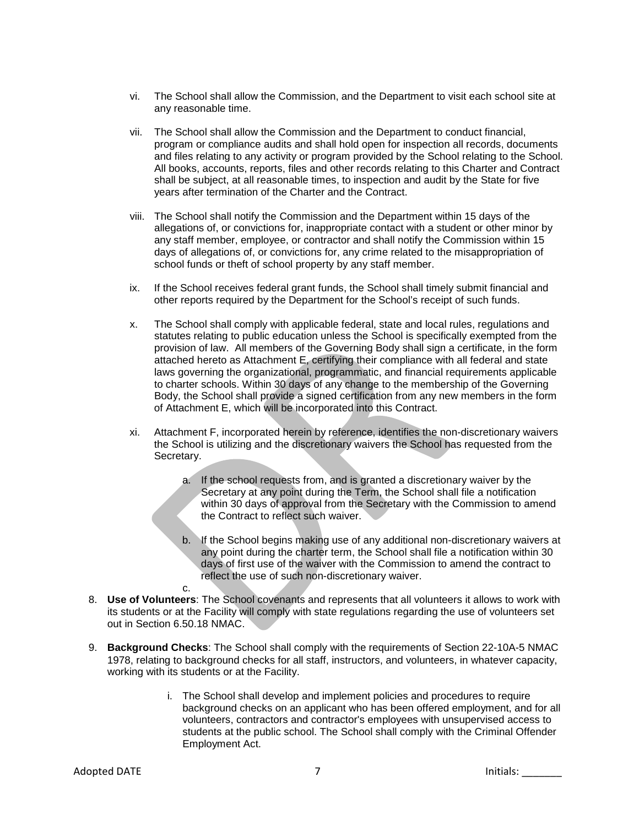- vi. The School shall allow the Commission, and the Department to visit each school site at any reasonable time.
- vii. The School shall allow the Commission and the Department to conduct financial, program or compliance audits and shall hold open for inspection all records, documents and files relating to any activity or program provided by the School relating to the School. All books, accounts, reports, files and other records relating to this Charter and Contract shall be subject, at all reasonable times, to inspection and audit by the State for five years after termination of the Charter and the Contract.
- viii. The School shall notify the Commission and the Department within 15 days of the allegations of, or convictions for, inappropriate contact with a student or other minor by any staff member, employee, or contractor and shall notify the Commission within 15 days of allegations of, or convictions for, any crime related to the misappropriation of school funds or theft of school property by any staff member.
- ix. If the School receives federal grant funds, the School shall timely submit financial and other reports required by the Department for the School's receipt of such funds.
- x. The School shall comply with applicable federal, state and local rules, regulations and statutes relating to public education unless the School is specifically exempted from the provision of law. All members of the Governing Body shall sign a certificate, in the form attached hereto as Attachment E, certifying their compliance with all federal and state laws governing the organizational, programmatic, and financial requirements applicable to charter schools. Within 30 days of any change to the membership of the Governing Body, the School shall provide a signed certification from any new members in the form of Attachment E, which will be incorporated into this Contract.
- xi. Attachment F, incorporated herein by reference, identifies the non-discretionary waivers the School is utilizing and the discretionary waivers the School has requested from the Secretary.
	- a. If the school requests from, and is granted a discretionary waiver by the Secretary at any point during the Term, the School shall file a notification within 30 days of approval from the Secretary with the Commission to amend the Contract to reflect such waiver.
	- b. If the School begins making use of any additional non-discretionary waivers at any point during the charter term, the School shall file a notification within 30 days of first use of the waiver with the Commission to amend the contract to reflect the use of such non-discretionary waiver.
- 8. **Use of Volunteers**: The School covenants and represents that all volunteers it allows to work with its students or at the Facility will comply with state regulations regarding the use of volunteers set out in Section 6.50.18 NMAC.
- 9. **Background Checks**: The School shall comply with the requirements of Section 22-10A-5 NMAC 1978, relating to background checks for all staff, instructors, and volunteers, in whatever capacity, working with its students or at the Facility.
	- i. The School shall develop and implement policies and procedures to require background checks on an applicant who has been offered employment, and for all volunteers, contractors and contractor's employees with unsupervised access to students at the public school. The School shall comply with the Criminal Offender Employment Act.

c.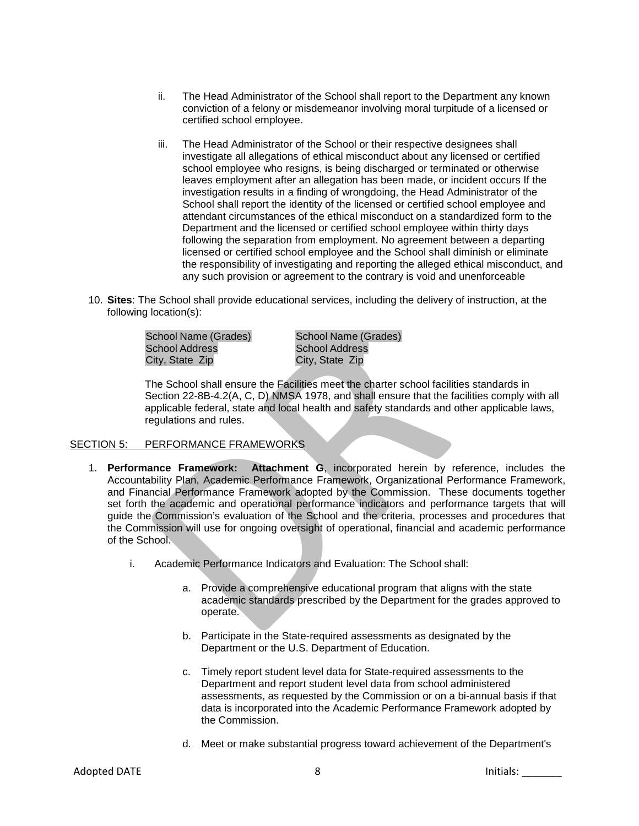- ii. The Head Administrator of the School shall report to the Department any known conviction of a felony or misdemeanor involving moral turpitude of a licensed or certified school employee.
- iii. The Head Administrator of the School or their respective designees shall investigate all allegations of ethical misconduct about any licensed or certified school employee who resigns, is being discharged or terminated or otherwise leaves employment after an allegation has been made, or incident occurs If the investigation results in a finding of wrongdoing, the Head Administrator of the School shall report the identity of the licensed or certified school employee and attendant circumstances of the ethical misconduct on a standardized form to the Department and the licensed or certified school employee within thirty days following the separation from employment. No agreement between a departing licensed or certified school employee and the School shall diminish or eliminate the responsibility of investigating and reporting the alleged ethical misconduct, and any such provision or agreement to the contrary is void and unenforceable
- 10. **Sites**: The School shall provide educational services, including the delivery of instruction, at the following location(s):

School Name (Grades) School Address City, State Zip

School Name (Grades) School Address City, State Zip

The School shall ensure the Facilities meet the charter school facilities standards in Section 22-8B-4.2(A, C, D) NMSA 1978, and shall ensure that the facilities comply with all applicable federal, state and local health and safety standards and other applicable laws, regulations and rules.

# SECTION 5: PERFORMANCE FRAMEWORKS

- 1. **Performance Framework: Attachment G**, incorporated herein by reference, includes the Accountability Plan, Academic Performance Framework, Organizational Performance Framework, and Financial Performance Framework adopted by the Commission. These documents together set forth the academic and operational performance indicators and performance targets that will guide the Commission's evaluation of the School and the criteria, processes and procedures that the Commission will use for ongoing oversight of operational, financial and academic performance of the School.
	- i. Academic Performance Indicators and Evaluation: The School shall:
		- a. Provide a comprehensive educational program that aligns with the state academic standards prescribed by the Department for the grades approved to operate.
		- b. Participate in the State-required assessments as designated by the Department or the U.S. Department of Education.
		- c. Timely report student level data for State-required assessments to the Department and report student level data from school administered assessments, as requested by the Commission or on a bi-annual basis if that data is incorporated into the Academic Performance Framework adopted by the Commission.
		- d. Meet or make substantial progress toward achievement of the Department's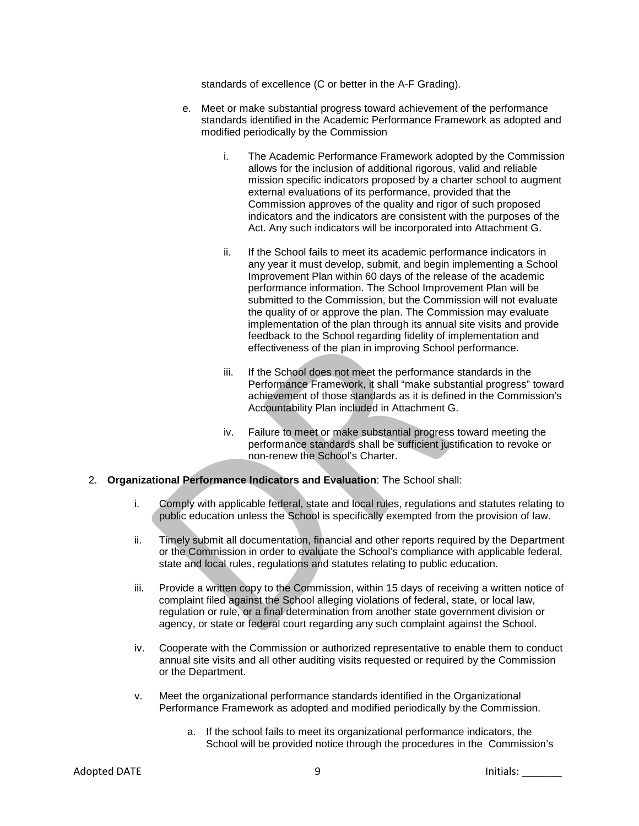standards of excellence (C or better in the A-F Grading).

- e. Meet or make substantial progress toward achievement of the performance standards identified in the Academic Performance Framework as adopted and modified periodically by the Commission
	- i. The Academic Performance Framework adopted by the Commission allows for the inclusion of additional rigorous, valid and reliable mission specific indicators proposed by a charter school to augment external evaluations of its performance, provided that the Commission approves of the quality and rigor of such proposed indicators and the indicators are consistent with the purposes of the Act. Any such indicators will be incorporated into Attachment G.
	- ii. If the School fails to meet its academic performance indicators in any year it must develop, submit, and begin implementing a School Improvement Plan within 60 days of the release of the academic performance information. The School Improvement Plan will be submitted to the Commission, but the Commission will not evaluate the quality of or approve the plan. The Commission may evaluate implementation of the plan through its annual site visits and provide feedback to the School regarding fidelity of implementation and effectiveness of the plan in improving School performance.
	- iii. If the School does not meet the performance standards in the Performance Framework, it shall "make substantial progress" toward achievement of those standards as it is defined in the Commission's Accountability Plan included in Attachment G.
	- iv. Failure to meet or make substantial progress toward meeting the performance standards shall be sufficient justification to revoke or non-renew the School's Charter.
- 2. **Organizational Performance Indicators and Evaluation**: The School shall:
	- i. Comply with applicable federal, state and local rules, regulations and statutes relating to public education unless the School is specifically exempted from the provision of law.
	- ii. Timely submit all documentation, financial and other reports required by the Department or the Commission in order to evaluate the School's compliance with applicable federal, state and local rules, regulations and statutes relating to public education.
	- iii. Provide a written copy to the Commission, within 15 days of receiving a written notice of complaint filed against the School alleging violations of federal, state, or local law, regulation or rule, or a final determination from another state government division or agency, or state or federal court regarding any such complaint against the School.
	- iv. Cooperate with the Commission or authorized representative to enable them to conduct annual site visits and all other auditing visits requested or required by the Commission or the Department.
	- v. Meet the organizational performance standards identified in the Organizational Performance Framework as adopted and modified periodically by the Commission.
		- a. If the school fails to meet its organizational performance indicators, the School will be provided notice through the procedures in the Commission's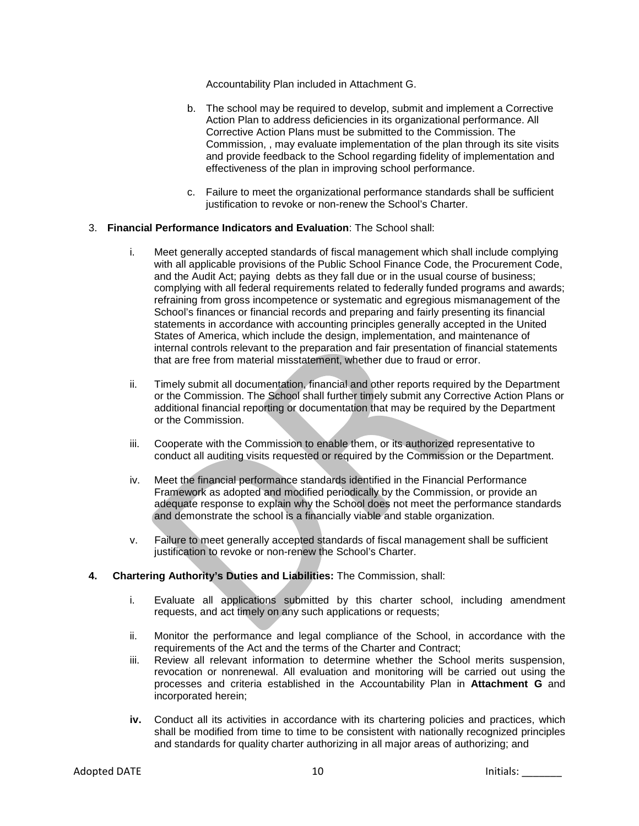Accountability Plan included in Attachment G.

- b. The school may be required to develop, submit and implement a Corrective Action Plan to address deficiencies in its organizational performance. All Corrective Action Plans must be submitted to the Commission. The Commission, , may evaluate implementation of the plan through its site visits and provide feedback to the School regarding fidelity of implementation and effectiveness of the plan in improving school performance.
- c. Failure to meet the organizational performance standards shall be sufficient justification to revoke or non-renew the School's Charter.

#### 3. **Financial Performance Indicators and Evaluation**: The School shall:

- i. Meet generally accepted standards of fiscal management which shall include complying with all applicable provisions of the Public School Finance Code, the Procurement Code, and the Audit Act; paying debts as they fall due or in the usual course of business; complying with all federal requirements related to federally funded programs and awards; refraining from gross incompetence or systematic and egregious mismanagement of the School's finances or financial records and preparing and fairly presenting its financial statements in accordance with accounting principles generally accepted in the United States of America, which include the design, implementation, and maintenance of internal controls relevant to the preparation and fair presentation of financial statements that are free from material misstatement, whether due to fraud or error.
- ii. Timely submit all documentation, financial and other reports required by the Department or the Commission. The School shall further timely submit any Corrective Action Plans or additional financial reporting or documentation that may be required by the Department or the Commission.
- iii. Cooperate with the Commission to enable them, or its authorized representative to conduct all auditing visits requested or required by the Commission or the Department.
- iv. Meet the financial performance standards identified in the Financial Performance Framework as adopted and modified periodically by the Commission, or provide an adequate response to explain why the School does not meet the performance standards and demonstrate the school is a financially viable and stable organization.
- v. Failure to meet generally accepted standards of fiscal management shall be sufficient justification to revoke or non-renew the School's Charter.

#### **4. Chartering Authority's Duties and Liabilities:** The Commission, shall:

- i. Evaluate all applications submitted by this charter school, including amendment requests, and act timely on any such applications or requests;
- ii. Monitor the performance and legal compliance of the School, in accordance with the requirements of the Act and the terms of the Charter and Contract;
- iii. Review all relevant information to determine whether the School merits suspension, revocation or nonrenewal. All evaluation and monitoring will be carried out using the processes and criteria established in the Accountability Plan in **Attachment G** and incorporated herein;
- **iv.** Conduct all its activities in accordance with its chartering policies and practices, which shall be modified from time to time to be consistent with nationally recognized principles and standards for quality charter authorizing in all major areas of authorizing; and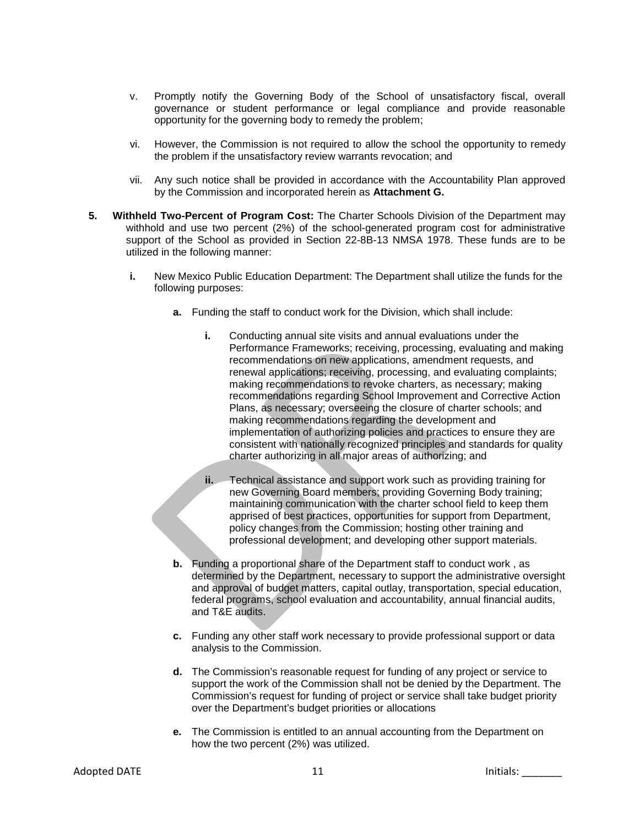- v. Promptly notify the Governing Body of the School of unsatisfactory fiscal, overall governance or student performance or legal compliance and provide reasonable opportunity for the governing body to remedy the problem;
- vi. However, the Commission is not required to allow the school the opportunity to remedy the problem if the unsatisfactory review warrants revocation; and
- vii. Any such notice shall be provided in accordance with the Accountability Plan approved by the Commission and incorporated herein as **Attachment G.**
- **5. Withheld Two-Percent of Program Cost:** The Charter Schools Division of the Department may withhold and use two percent (2%) of the school-generated program cost for administrative support of the School as provided in Section 22-8B-13 NMSA 1978. These funds are to be utilized in the following manner:
	- **i.** New Mexico Public Education Department: The Department shall utilize the funds for the following purposes:
		- **a.** Funding the staff to conduct work for the Division, which shall include:
			- **i.** Conducting annual site visits and annual evaluations under the Performance Frameworks; receiving, processing, evaluating and making recommendations on new applications, amendment requests, and renewal applications; receiving, processing, and evaluating complaints; making recommendations to revoke charters, as necessary; making recommendations regarding School Improvement and Corrective Action Plans, as necessary; overseeing the closure of charter schools; and making recommendations regarding the development and implementation of authorizing policies and practices to ensure they are consistent with nationally recognized principles and standards for quality charter authorizing in all major areas of authorizing; and
			- **ii.** Technical assistance and support work such as providing training for new Governing Board members; providing Governing Body training; maintaining communication with the charter school field to keep them apprised of best practices, opportunities for support from Department, policy changes from the Commission; hosting other training and professional development; and developing other support materials.
		- **b.** Funding a proportional share of the Department staff to conduct work , as determined by the Department, necessary to support the administrative oversight and approval of budget matters, capital outlay, transportation, special education, federal programs, school evaluation and accountability, annual financial audits, and T&E audits.
		- **c.** Funding any other staff work necessary to provide professional support or data analysis to the Commission.
		- **d.** The Commission's reasonable request for funding of any project or service to support the work of the Commission shall not be denied by the Department. The Commission's request for funding of project or service shall take budget priority over the Department's budget priorities or allocations
		- **e.** The Commission is entitled to an annual accounting from the Department on how the two percent (2%) was utilized.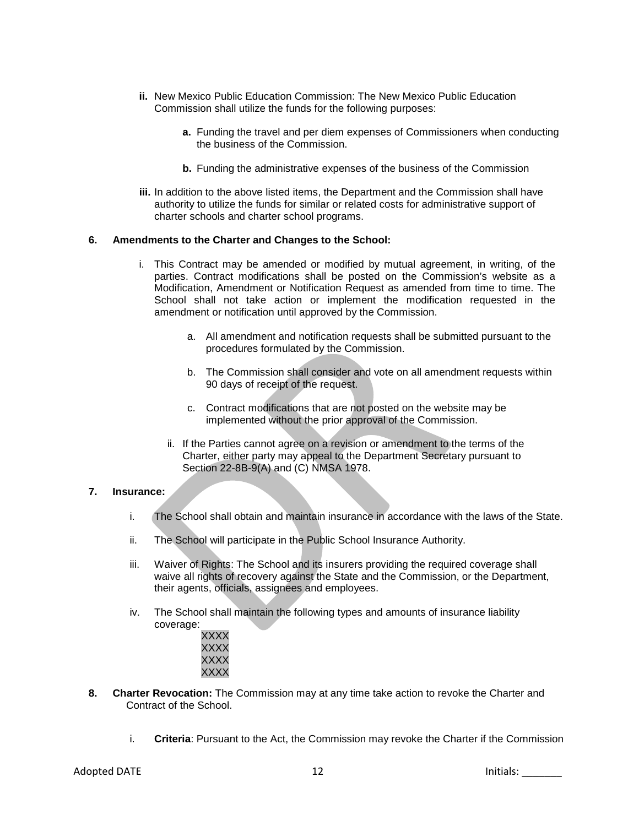- **ii.** New Mexico Public Education Commission: The New Mexico Public Education Commission shall utilize the funds for the following purposes:
	- **a.** Funding the travel and per diem expenses of Commissioners when conducting the business of the Commission.
	- **b.** Funding the administrative expenses of the business of the Commission
- **iii.** In addition to the above listed items, the Department and the Commission shall have authority to utilize the funds for similar or related costs for administrative support of charter schools and charter school programs.

#### **6. Amendments to the Charter and Changes to the School:**

- i. This Contract may be amended or modified by mutual agreement, in writing, of the parties. Contract modifications shall be posted on the Commission's website as a Modification, Amendment or Notification Request as amended from time to time. The School shall not take action or implement the modification requested in the amendment or notification until approved by the Commission.
	- a. All amendment and notification requests shall be submitted pursuant to the procedures formulated by the Commission.
	- b. The Commission shall consider and vote on all amendment requests within 90 days of receipt of the request.
	- c. Contract modifications that are not posted on the website may be implemented without the prior approval of the Commission.
	- ii. If the Parties cannot agree on a revision or amendment to the terms of the Charter, either party may appeal to the Department Secretary pursuant to Section 22-8B-9(A) and (C) NMSA 1978.

### **7. Insurance:**

- i. The School shall obtain and maintain insurance in accordance with the laws of the State.
- ii. The School will participate in the Public School Insurance Authority.
- iii. Waiver of Rights: The School and its insurers providing the required coverage shall waive all rights of recovery against the State and the Commission, or the Department, their agents, officials, assignees and employees.
- iv. The School shall maintain the following types and amounts of insurance liability coverage:
	- XXXX XXXX XXXX XXXX
- **8. Charter Revocation:** The Commission may at any time take action to revoke the Charter and Contract of the School.
	- i. **Criteria**: Pursuant to the Act, the Commission may revoke the Charter if the Commission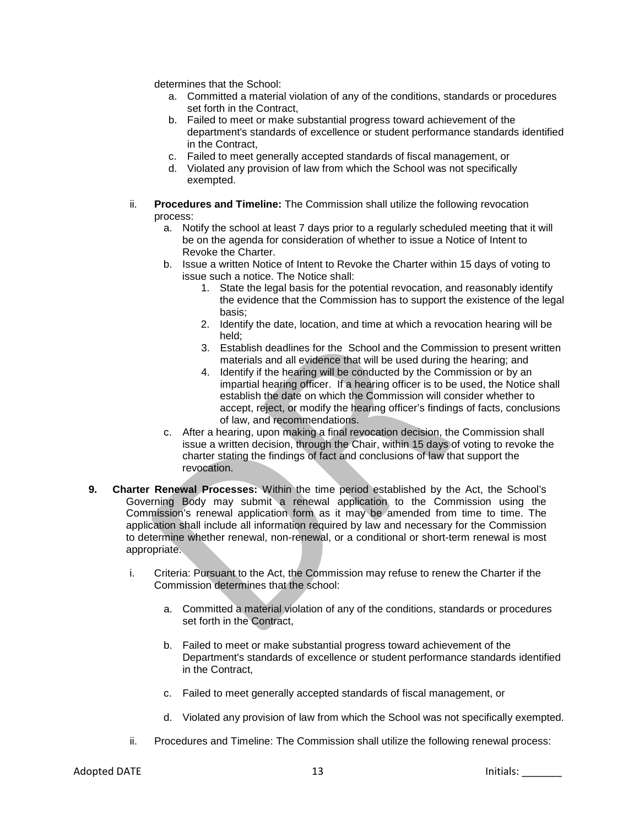determines that the School:

- a. Committed a material violation of any of the conditions, standards or procedures set forth in the Contract,
- b. Failed to meet or make substantial progress toward achievement of the department's standards of excellence or student performance standards identified in the Contract,
- c. Failed to meet generally accepted standards of fiscal management, or
- d. Violated any provision of law from which the School was not specifically exempted.
- ii. **Procedures and Timeline:** The Commission shall utilize the following revocation process:
	- a. Notify the school at least 7 days prior to a regularly scheduled meeting that it will be on the agenda for consideration of whether to issue a Notice of Intent to Revoke the Charter.
	- b. Issue a written Notice of Intent to Revoke the Charter within 15 days of voting to issue such a notice. The Notice shall:
		- 1. State the legal basis for the potential revocation, and reasonably identify the evidence that the Commission has to support the existence of the legal basis;
		- 2. Identify the date, location, and time at which a revocation hearing will be held;
		- 3. Establish deadlines for the School and the Commission to present written materials and all evidence that will be used during the hearing; and
		- 4. Identify if the hearing will be conducted by the Commission or by an impartial hearing officer. If a hearing officer is to be used, the Notice shall establish the date on which the Commission will consider whether to accept, reject, or modify the hearing officer's findings of facts, conclusions of law, and recommendations.
	- c. After a hearing, upon making a final revocation decision, the Commission shall issue a written decision, through the Chair, within 15 days of voting to revoke the charter stating the findings of fact and conclusions of law that support the revocation.
- **9. Charter Renewal Processes:** Within the time period established by the Act, the School's Governing Body may submit a renewal application to the Commission using the Commission's renewal application form as it may be amended from time to time. The application shall include all information required by law and necessary for the Commission to determine whether renewal, non-renewal, or a conditional or short-term renewal is most appropriate.
	- i. Criteria: Pursuant to the Act, the Commission may refuse to renew the Charter if the Commission determines that the school:
		- a. Committed a material violation of any of the conditions, standards or procedures set forth in the Contract,
		- b. Failed to meet or make substantial progress toward achievement of the Department's standards of excellence or student performance standards identified in the Contract,
		- c. Failed to meet generally accepted standards of fiscal management, or
		- d. Violated any provision of law from which the School was not specifically exempted.
	- ii. Procedures and Timeline: The Commission shall utilize the following renewal process: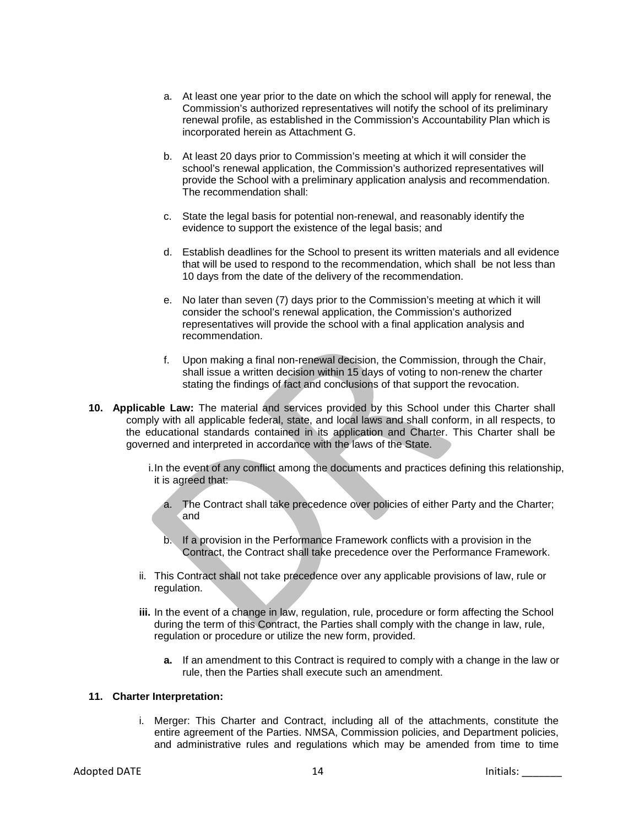- a. At least one year prior to the date on which the school will apply for renewal, the Commission's authorized representatives will notify the school of its preliminary renewal profile, as established in the Commission's Accountability Plan which is incorporated herein as Attachment G.
- b. At least 20 days prior to Commission's meeting at which it will consider the school's renewal application, the Commission's authorized representatives will provide the School with a preliminary application analysis and recommendation. The recommendation shall:
- c. State the legal basis for potential non-renewal, and reasonably identify the evidence to support the existence of the legal basis; and
- d. Establish deadlines for the School to present its written materials and all evidence that will be used to respond to the recommendation, which shall be not less than 10 days from the date of the delivery of the recommendation.
- e. No later than seven (7) days prior to the Commission's meeting at which it will consider the school's renewal application, the Commission's authorized representatives will provide the school with a final application analysis and recommendation.
- f. Upon making a final non-renewal decision, the Commission, through the Chair, shall issue a written decision within 15 days of voting to non-renew the charter stating the findings of fact and conclusions of that support the revocation.
- **10. Applicable Law:** The material and services provided by this School under this Charter shall comply with all applicable federal, state, and local laws and shall conform, in all respects, to the educational standards contained in its application and Charter. This Charter shall be governed and interpreted in accordance with the laws of the State.
	- i.In the event of any conflict among the documents and practices defining this relationship, it is agreed that:
		- a. The Contract shall take precedence over policies of either Party and the Charter; and
		- b. If a provision in the Performance Framework conflicts with a provision in the Contract, the Contract shall take precedence over the Performance Framework.
	- ii. This Contract shall not take precedence over any applicable provisions of law, rule or regulation.
	- **iii.** In the event of a change in law, regulation, rule, procedure or form affecting the School during the term of this Contract, the Parties shall comply with the change in law, rule, regulation or procedure or utilize the new form, provided.
		- **a.** If an amendment to this Contract is required to comply with a change in the law or rule, then the Parties shall execute such an amendment.

#### **11. Charter Interpretation:**

i. Merger: This Charter and Contract, including all of the attachments, constitute the entire agreement of the Parties. NMSA, Commission policies, and Department policies, and administrative rules and regulations which may be amended from time to time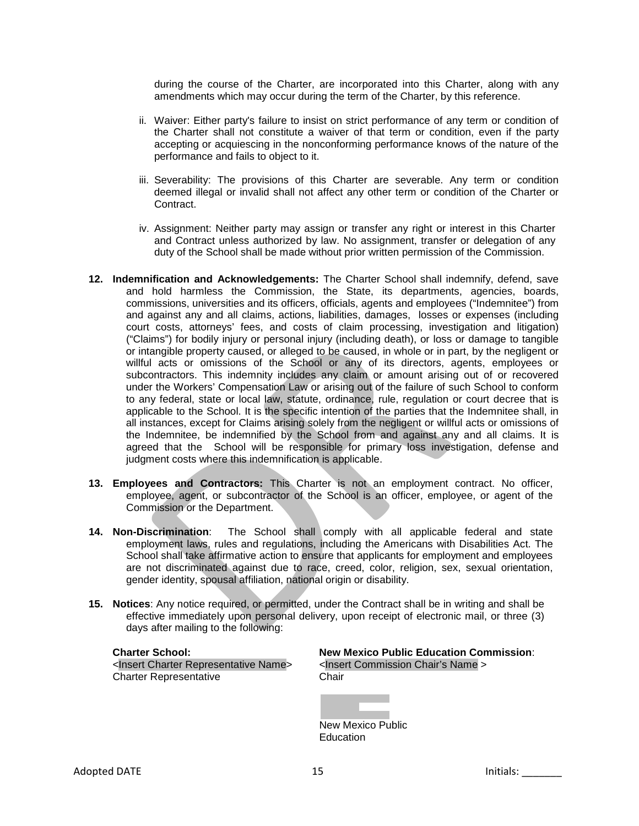during the course of the Charter, are incorporated into this Charter, along with any amendments which may occur during the term of the Charter, by this reference.

- ii. Waiver: Either party's failure to insist on strict performance of any term or condition of the Charter shall not constitute a waiver of that term or condition, even if the party accepting or acquiescing in the nonconforming performance knows of the nature of the performance and fails to object to it.
- iii. Severability: The provisions of this Charter are severable. Any term or condition deemed illegal or invalid shall not affect any other term or condition of the Charter or Contract.
- iv. Assignment: Neither party may assign or transfer any right or interest in this Charter and Contract unless authorized by law. No assignment, transfer or delegation of any duty of the School shall be made without prior written permission of the Commission.
- **12. Indemnification and Acknowledgements:** The Charter School shall indemnify, defend, save and hold harmless the Commission, the State, its departments, agencies, boards, commissions, universities and its officers, officials, agents and employees ("Indemnitee") from and against any and all claims, actions, liabilities, damages, losses or expenses (including court costs, attorneys' fees, and costs of claim processing, investigation and litigation) ("Claims") for bodily injury or personal injury (including death), or loss or damage to tangible or intangible property caused, or alleged to be caused, in whole or in part, by the negligent or willful acts or omissions of the School or any of its directors, agents, employees or subcontractors. This indemnity includes any claim or amount arising out of or recovered under the Workers' Compensation Law or arising out of the failure of such School to conform to any federal, state or local law, statute, ordinance, rule, regulation or court decree that is applicable to the School. It is the specific intention of the parties that the Indemnitee shall, in all instances, except for Claims arising solely from the negligent or willful acts or omissions of the Indemnitee, be indemnified by the School from and against any and all claims. It is agreed that the School will be responsible for primary loss investigation, defense and judgment costs where this indemnification is applicable.
- **13. Employees and Contractors:** This Charter is not an employment contract. No officer, employee, agent, or subcontractor of the School is an officer, employee, or agent of the Commission or the Department.
- **14. Non-Discrimination**: The School shall comply with all applicable federal and state employment laws, rules and regulations, including the Americans with Disabilities Act. The School shall take affirmative action to ensure that applicants for employment and employees are not discriminated against due to race, creed, color, religion, sex, sexual orientation, gender identity, spousal affiliation, national origin or disability.
- **15. Notices**: Any notice required, or permitted, under the Contract shall be in writing and shall be effective immediately upon personal delivery, upon receipt of electronic mail, or three (3) days after mailing to the following:

| <Insert Charter Representative Name> <Inser<br>Charter Representative Name> Chair **Charter Representative** 

# **Charter School: New Mexico Public Education Commission**:

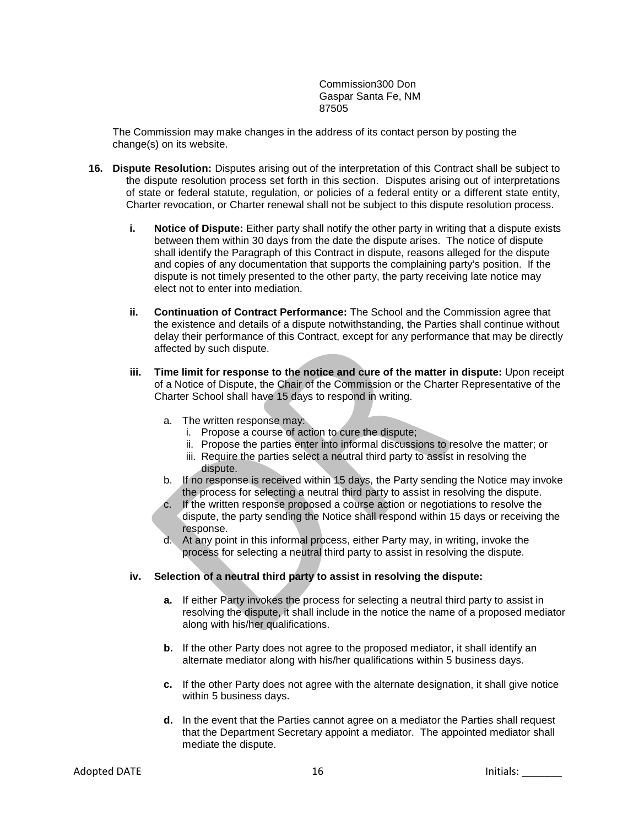Commission300 Don Gaspar Santa Fe, NM 87505

The Commission may make changes in the address of its contact person by posting the change(s) on its website.

- **16. Dispute Resolution:** Disputes arising out of the interpretation of this Contract shall be subject to the dispute resolution process set forth in this section. Disputes arising out of interpretations of state or federal statute, regulation, or policies of a federal entity or a different state entity, Charter revocation, or Charter renewal shall not be subject to this dispute resolution process.
	- **i. Notice of Dispute:** Either party shall notify the other party in writing that a dispute exists between them within 30 days from the date the dispute arises. The notice of dispute shall identify the Paragraph of this Contract in dispute, reasons alleged for the dispute and copies of any documentation that supports the complaining party's position. If the dispute is not timely presented to the other party, the party receiving late notice may elect not to enter into mediation.
	- **ii. Continuation of Contract Performance:** The School and the Commission agree that the existence and details of a dispute notwithstanding, the Parties shall continue without delay their performance of this Contract, except for any performance that may be directly affected by such dispute.
	- **iii. Time limit for response to the notice and cure of the matter in dispute:** Upon receipt of a Notice of Dispute, the Chair of the Commission or the Charter Representative of the Charter School shall have 15 days to respond in writing.
		- a. The written response may:
			- i. Propose a course of action to cure the dispute;
			- ii. Propose the parties enter into informal discussions to resolve the matter; or
			- iii. Require the parties select a neutral third party to assist in resolving the dispute.
		- b. If no response is received within 15 days, the Party sending the Notice may invoke the process for selecting a neutral third party to assist in resolving the dispute.
		- c. If the written response proposed a course action or negotiations to resolve the dispute, the party sending the Notice shall respond within 15 days or receiving the response.
		- d. At any point in this informal process, either Party may, in writing, invoke the process for selecting a neutral third party to assist in resolving the dispute.

#### **iv. Selection of a neutral third party to assist in resolving the dispute:**

- **a.** If either Party invokes the process for selecting a neutral third party to assist in resolving the dispute, it shall include in the notice the name of a proposed mediator along with his/her qualifications.
- **b.** If the other Party does not agree to the proposed mediator, it shall identify an alternate mediator along with his/her qualifications within 5 business days.
- **c.** If the other Party does not agree with the alternate designation, it shall give notice within 5 business days.
- **d.** In the event that the Parties cannot agree on a mediator the Parties shall request that the Department Secretary appoint a mediator. The appointed mediator shall mediate the dispute.